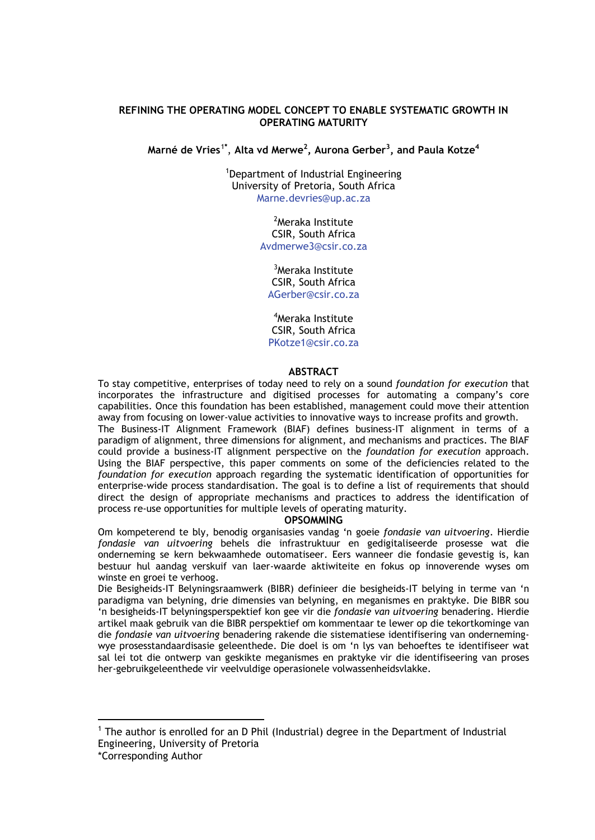### **REFINING THE OPERATING MODEL CONCEPT TO ENABLE SYSTEMATIC GROWTH IN OPERATING MATURITY**

**Marné de Vries**[1](#page-0-0)**\*** , **Alta vd Merwe2 , Aurona Gerber3 , and Paula Kotze4**

1 Department of Industrial Engineering University of Pretoria, South Africa Marne.devries@up.ac.za

> <sup>2</sup>Meraka Institute CSIR, South Africa Avdmerwe3@csir.co.za

3 Meraka Institute CSIR, South Africa AGerber@csir.co.za

4 Meraka Institute CSIR, South Africa PKotze1@csir.co.za

### **ABSTRACT**

To stay competitive, enterprises of today need to rely on a sound *foundation for execution* that incorporates the infrastructure and digitised processes for automating a company's core capabilities. Once this foundation has been established, management could move their attention away from focusing on lower-value activities to innovative ways to increase profits and growth. The Business-IT Alignment Framework (BIAF) defines business-IT alignment in terms of a paradigm of alignment, three dimensions for alignment, and mechanisms and practices. The BIAF could provide a business-IT alignment perspective on the *foundation for execution* approach. Using the BIAF perspective, this paper comments on some of the deficiencies related to the *foundation for execution* approach regarding the systematic identification of opportunities for enterprise-wide process standardisation. The goal is to define a list of requirements that should direct the design of appropriate mechanisms and practices to address the identification of process re-use opportunities for multiple levels of operating maturity.

#### **OPSOMMING**

Om kompeterend te bly, benodig organisasies vandag 'n goeie *fondasie van uitvoering*. Hierdie *fondasie van uitvoering* behels die infrastruktuur en gedigitaliseerde prosesse wat die onderneming se kern bekwaamhede outomatiseer. Eers wanneer die fondasie gevestig is, kan bestuur hul aandag verskuif van laer-waarde aktiwiteite en fokus op innoverende wyses om winste en groei te verhoog.

Die Besigheids-IT Belyningsraamwerk (BIBR) definieer die besigheids-IT belying in terme van 'n paradigma van belyning, drie dimensies van belyning, en meganismes en praktyke. Die BIBR sou 'n besigheids-IT belyningsperspektief kon gee vir die *fondasie van uitvoering* benadering. Hierdie artikel maak gebruik van die BIBR perspektief om kommentaar te lewer op die tekortkominge van die *fondasie van uitvoering* benadering rakende die sistematiese identifisering van ondernemingwye prosesstandaardisasie geleenthede. Die doel is om 'n lys van behoeftes te identifiseer wat sal lei tot die ontwerp van geskikte meganismes en praktyke vir die identifiseering van proses her-gebruikgeleenthede vir veelvuldige operasionele volwassenheidsvlakke.

<span id="page-0-0"></span> <sup>1</sup> The author is enrolled for an D Phil (Industrial) degree in the Department of Industrial Engineering, University of Pretoria

<sup>\*</sup>Corresponding Author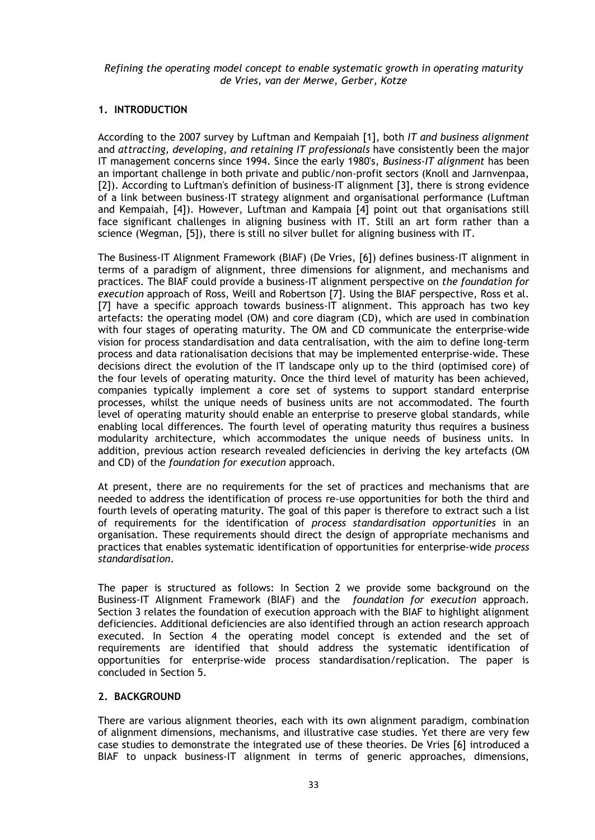## **1. INTRODUCTION**

According to the 2007 survey by Luftman and Kempaiah [1], both *IT and business alignment* and *attracting, developing, and retaining IT professionals* have consistently been the major IT management concerns since 1994. Since the early 1980's, *Business-IT alignment* has been an important challenge in both private and public/non-profit sectors (Knoll and Jarnvenpaa, [2]). According to Luftman's definition of business-IT alignment [3], there is strong evidence of a link between business-IT strategy alignment and organisational performance (Luftman and Kempaiah, [4]). However, Luftman and Kampaia [4] point out that organisations still face significant challenges in aligning business with IT. Still an art form rather than a science (Wegman, [5]), there is still no silver bullet for aligning business with IT.

The Business-IT Alignment Framework (BIAF) (De Vries, [6]) defines business-IT alignment in terms of a paradigm of alignment, three dimensions for alignment, and mechanisms and practices. The BIAF could provide a business-IT alignment perspective on *the foundation for execution* approach of Ross, Weill and Robertson [7]. Using the BIAF perspective, Ross et al. [7] have a specific approach towards business-IT alignment. This approach has two key artefacts: the operating model (OM) and core diagram (CD), which are used in combination with four stages of operating maturity. The OM and CD communicate the enterprise-wide vision for process standardisation and data centralisation, with the aim to define long-term process and data rationalisation decisions that may be implemented enterprise-wide. These decisions direct the evolution of the IT landscape only up to the third (optimised core) of the four levels of operating maturity. Once the third level of maturity has been achieved, companies typically implement a core set of systems to support standard enterprise processes, whilst the unique needs of business units are not accommodated. The fourth level of operating maturity should enable an enterprise to preserve global standards, while enabling local differences. The fourth level of operating maturity thus requires a business modularity architecture, which accommodates the unique needs of business units. In addition, previous action research revealed deficiencies in deriving the key artefacts (OM and CD) of the *foundation for execution* approach.

At present, there are no requirements for the set of practices and mechanisms that are needed to address the identification of process re-use opportunities for both the third and fourth levels of operating maturity. The goal of this paper is therefore to extract such a list of requirements for the identification of *process standardisation opportunities* in an organisation. These requirements should direct the design of appropriate mechanisms and practices that enables systematic identification of opportunities for enterprise-wide *process standardisation*.

The paper is structured as follows: In Section 2 we provide some background on the Business-IT Alignment Framework (BIAF) and the *foundation for execution* approach. Section 3 relates the foundation of execution approach with the BIAF to highlight alignment deficiencies. Additional deficiencies are also identified through an action research approach executed. In Section 4 the operating model concept is extended and the set of requirements are identified that should address the systematic identification of opportunities for enterprise-wide process standardisation/replication. The paper is concluded in Section 5.

### **2. BACKGROUND**

There are various alignment theories, each with its own alignment paradigm, combination of alignment dimensions, mechanisms, and illustrative case studies. Yet there are very few case studies to demonstrate the integrated use of these theories. De Vries [6] introduced a BIAF to unpack business-IT alignment in terms of generic approaches, dimensions,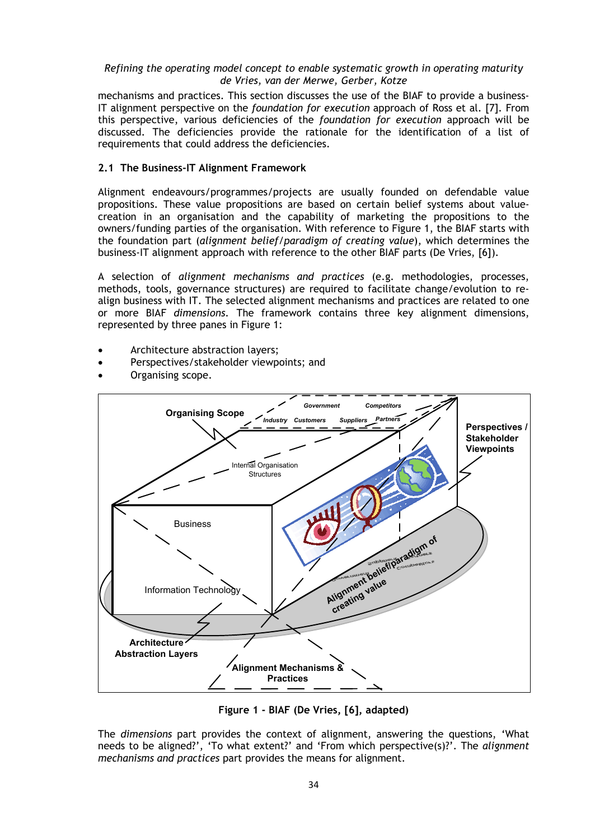mechanisms and practices. This section discusses the use of the BIAF to provide a business-IT alignment perspective on the *foundation for execution* approach of Ross et al. [7]. From this perspective, various deficiencies of the *foundation for execution* approach will be discussed. The deficiencies provide the rationale for the identification of a list of requirements that could address the deficiencies.

## **2.1 The Business-IT Alignment Framework**

Alignment endeavours/programmes/projects are usually founded on defendable value propositions. These value propositions are based on certain belief systems about valuecreation in an organisation and the capability of marketing the propositions to the owners/funding parties of the organisation. With reference to [Figure 1,](#page-2-0) the BIAF starts with the foundation part (*alignment belief/paradigm of creating value*), which determines the business-IT alignment approach with reference to the other BIAF parts (De Vries, [6]).

A selection of *alignment mechanisms and practices* (e.g. methodologies, processes, methods, tools, governance structures) are required to facilitate change/evolution to realign business with IT. The selected alignment mechanisms and practices are related to one or more BIAF *dimensions*. The framework contains three key alignment dimensions, represented by three panes in [Figure 1:](#page-2-0)

- Architecture abstraction layers;
- Perspectives/stakeholder viewpoints; and
- Organising scope.



**Figure 1 - BIAF (De Vries, [6], adapted)**

<span id="page-2-0"></span>The *dimensions* part provides the context of alignment, answering the questions, 'What needs to be aligned?', 'To what extent?' and 'From which perspective(s)?'. The *alignment mechanisms and practices* part provides the means for alignment.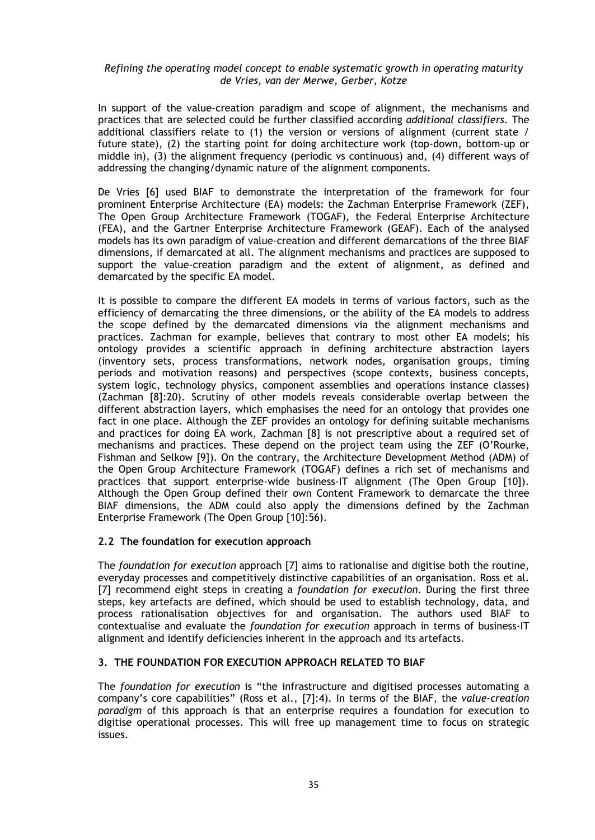In support of the value-creation paradigm and scope of alignment, the mechanisms and practices that are selected could be further classified according *additional classifiers.* The additional classifiers relate to (1) the version or versions of alignment (current state / future state), (2) the starting point for doing architecture work (top-down, bottom-up or middle in), (3) the alignment frequency (periodic vs continuous) and, (4) different ways of addressing the changing/dynamic nature of the alignment components.

De Vries [6] used BIAF to demonstrate the interpretation of the framework for four prominent Enterprise Architecture (EA) models: the Zachman Enterprise Framework (ZEF), The Open Group Architecture Framework (TOGAF), the Federal Enterprise Architecture (FEA), and the Gartner Enterprise Architecture Framework (GEAF). Each of the analysed models has its own paradigm of value-creation and different demarcations of the three BIAF dimensions, if demarcated at all. The alignment mechanisms and practices are supposed to support the value-creation paradigm and the extent of alignment, as defined and demarcated by the specific EA model.

It is possible to compare the different EA models in terms of various factors, such as the efficiency of demarcating the three dimensions, or the ability of the EA models to address the scope defined by the demarcated dimensions via the alignment mechanisms and practices. Zachman for example, believes that contrary to most other EA models; his ontology provides a scientific approach in defining architecture abstraction layers (inventory sets, process transformations, network nodes, organisation groups, timing periods and motivation reasons) and perspectives (scope contexts, business concepts, system logic, technology physics, component assemblies and operations instance classes) (Zachman [8]:20). Scrutiny of other models reveals considerable overlap between the different abstraction layers, which emphasises the need for an ontology that provides one fact in one place. Although the ZEF provides an ontology for defining suitable mechanisms and practices for doing EA work, Zachman [8] is not prescriptive about a required set of mechanisms and practices. These depend on the project team using the ZEF (O'Rourke, Fishman and Selkow [9]). On the contrary, the Architecture Development Method (ADM) of the Open Group Architecture Framework (TOGAF) defines a rich set of mechanisms and practices that support enterprise-wide business-IT alignment (The Open Group [10]). Although the Open Group defined their own Content Framework to demarcate the three BIAF dimensions, the ADM could also apply the dimensions defined by the Zachman Enterprise Framework (The Open Group [10]:56).

### **2.2 The foundation for execution approach**

The *foundation for execution* approach [7] aims to rationalise and digitise both the routine, everyday processes and competitively distinctive capabilities of an organisation. Ross et al. [7] recommend eight steps in creating a *foundation for execution*. During the first three steps, key artefacts are defined, which should be used to establish technology, data, and process rationalisation objectives for and organisation. The authors used BIAF to contextualise and evaluate the *foundation for execution* approach in terms of business-IT alignment and identify deficiencies inherent in the approach and its artefacts.

### **3. THE FOUNDATION FOR EXECUTION APPROACH RELATED TO BIAF**

The *foundation for execution* is "the infrastructure and digitised processes automating a company's core capabilities" (Ross et al., [7]:4). In terms of the BIAF, the *value-creation paradigm* of this approach is that an enterprise requires a foundation for execution to digitise operational processes. This will free up management time to focus on strategic issues.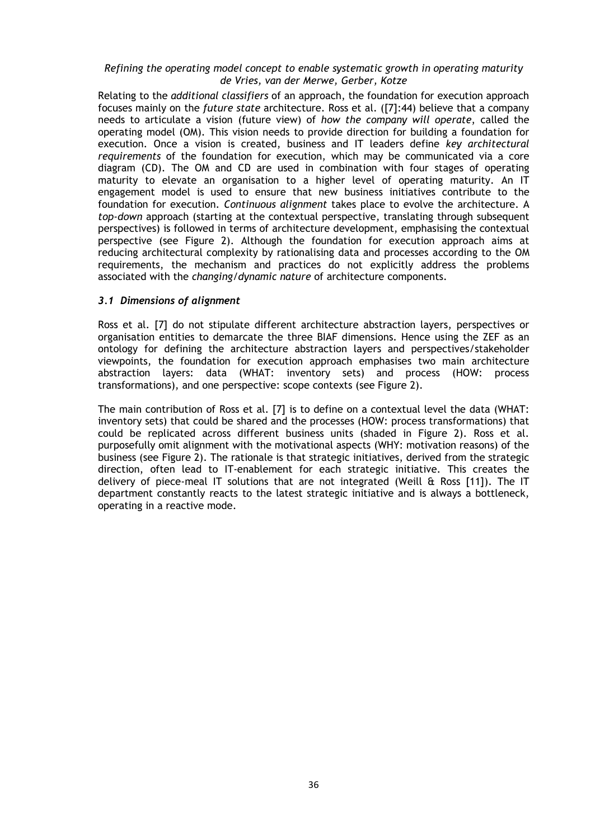Relating to the *additional classifiers* of an approach, the foundation for execution approach focuses mainly on the *future state* architecture. Ross et al. ([7]:44) believe that a company needs to articulate a vision (future view) of *how the company will operate*, called the operating model (OM). This vision needs to provide direction for building a foundation for execution. Once a vision is created, business and IT leaders define *key architectural requirements* of the foundation for execution, which may be communicated via a core diagram (CD). The OM and CD are used in combination with four stages of operating maturity to elevate an organisation to a higher level of operating maturity. An IT engagement model is used to ensure that new business initiatives contribute to the foundation for execution. *Continuous alignment* takes place to evolve the architecture. A *top-down* approach (starting at the contextual perspective, translating through subsequent perspectives) is followed in terms of architecture development, emphasising the contextual perspective (see [Figure 2\)](#page-5-0). Although the foundation for execution approach aims at reducing architectural complexity by rationalising data and processes according to the OM requirements, the mechanism and practices do not explicitly address the problems associated with the *changing/dynamic nature* of architecture components.

### *3.1 Dimensions of alignment*

Ross et al. [7] do not stipulate different architecture abstraction layers, perspectives or organisation entities to demarcate the three BIAF dimensions. Hence using the ZEF as an ontology for defining the architecture abstraction layers and perspectives/stakeholder viewpoints, the foundation for execution approach emphasises two main architecture abstraction layers: data (WHAT: inventory sets) and process (HOW: process transformations), and one perspective: scope contexts (see [Figure 2\)](#page-5-0).

The main contribution of Ross et al. [7] is to define on a contextual level the data (WHAT: inventory sets) that could be shared and the processes (HOW: process transformations) that could be replicated across different business units (shaded in [Figure 2\)](#page-5-0). Ross et al. purposefully omit alignment with the motivational aspects (WHY: motivation reasons) of the business (see [Figure 2\)](#page-5-0). The rationale is that strategic initiatives, derived from the strategic direction, often lead to IT-enablement for each strategic initiative. This creates the delivery of piece-meal IT solutions that are not integrated (Weill & Ross [11]). The IT department constantly reacts to the latest strategic initiative and is always a bottleneck, operating in a reactive mode.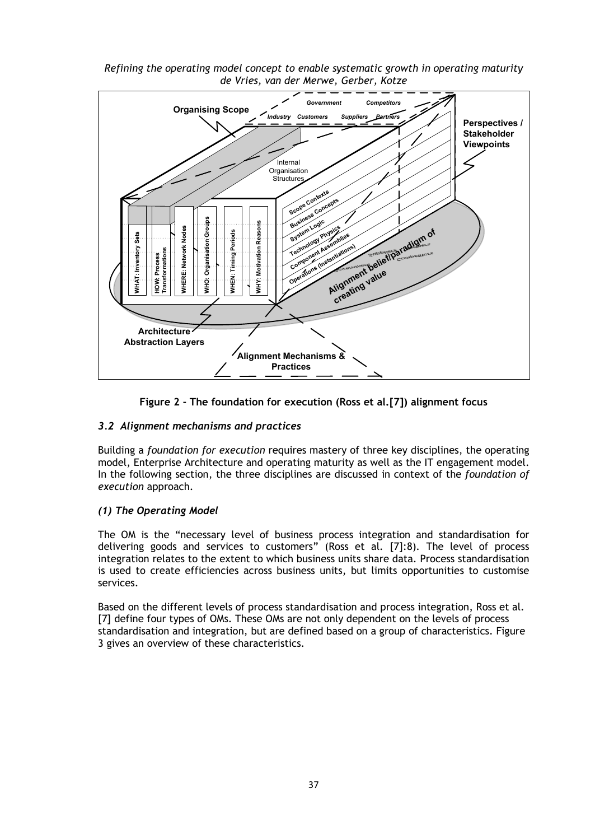

*Refining the operating model concept to enable systematic growth in operating maturity de Vries, van der Merwe, Gerber, Kotze*



## <span id="page-5-0"></span>*3.2 Alignment mechanisms and practices*

Building a *foundation for execution* requires mastery of three key disciplines, the operating model, Enterprise Architecture and operating maturity as well as the IT engagement model. In the following section, the three disciplines are discussed in context of the *foundation of execution* approach.

## *(1) The Operating Model*

The OM is the "necessary level of business process integration and standardisation for delivering goods and services to customers" (Ross et al*.* [7]:8). The level of process integration relates to the extent to which business units share data. Process standardisation is used to create efficiencies across business units, but limits opportunities to customise services.

Based on the different levels of process standardisation and process integration, Ross et al. [7] define four types of OMs. These OMs are not only dependent on the levels of process standardisation and integration, but are defined based on a group of characteristics. [Figure](#page-6-0)  [3](#page-6-0) gives an overview of these characteristics.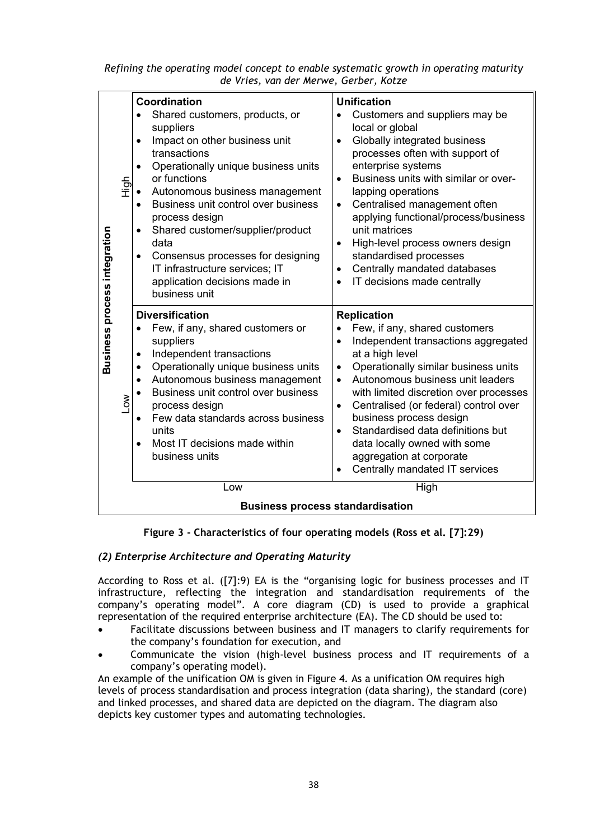|                                         |                  | Coordination                                                                                                                                                                                                                                                                                                                                                                                                                                       | <b>Unification</b>                                                                                                                                                                                                                                                                                                                                                                                                                                                                |  |  |  |
|-----------------------------------------|------------------|----------------------------------------------------------------------------------------------------------------------------------------------------------------------------------------------------------------------------------------------------------------------------------------------------------------------------------------------------------------------------------------------------------------------------------------------------|-----------------------------------------------------------------------------------------------------------------------------------------------------------------------------------------------------------------------------------------------------------------------------------------------------------------------------------------------------------------------------------------------------------------------------------------------------------------------------------|--|--|--|
| Business process integration            | High             | Shared customers, products, or<br>suppliers<br>Impact on other business unit<br>٠<br>transactions<br>Operationally unique business units<br>$\bullet$<br>or functions<br>Autonomous business management<br>Business unit control over business<br>process design<br>Shared customer/supplier/product<br>data<br>Consensus processes for designing<br>$\bullet$<br>IT infrastructure services; IT<br>application decisions made in<br>business unit | Customers and suppliers may be<br>local or global<br>Globally integrated business<br>processes often with support of<br>enterprise systems<br>Business units with similar or over-<br>$\bullet$<br>lapping operations<br>Centralised management often<br>$\bullet$<br>applying functional/process/business<br>unit matrices<br>High-level process owners design<br>standardised processes<br>Centrally mandated databases<br>$\bullet$<br>IT decisions made centrally             |  |  |  |
|                                         | $\sum_{i=1}^{n}$ | <b>Diversification</b><br>Few, if any, shared customers or<br>suppliers<br>Independent transactions<br>$\bullet$<br>Operationally unique business units<br>$\bullet$<br>Autonomous business management<br>$\bullet$<br>Business unit control over business<br>process design<br>Few data standards across business<br>units<br>Most IT decisions made within<br>business units                                                                     | <b>Replication</b><br>Few, if any, shared customers<br>Independent transactions aggregated<br>at a high level<br>Operationally similar business units<br>$\bullet$<br>Autonomous business unit leaders<br>with limited discretion over processes<br>Centralised (or federal) control over<br>$\bullet$<br>business process design<br>Standardised data definitions but<br>$\bullet$<br>data locally owned with some<br>aggregation at corporate<br>Centrally mandated IT services |  |  |  |
|                                         |                  | Low                                                                                                                                                                                                                                                                                                                                                                                                                                                | High                                                                                                                                                                                                                                                                                                                                                                                                                                                                              |  |  |  |
| <b>Business process standardisation</b> |                  |                                                                                                                                                                                                                                                                                                                                                                                                                                                    |                                                                                                                                                                                                                                                                                                                                                                                                                                                                                   |  |  |  |

# **Figure 3 - Characteristics of four operating models (Ross et al. [7]:29)**

# <span id="page-6-0"></span>*(2) Enterprise Architecture and Operating Maturity*

According to Ross et al. ([7]:9) EA is the "organising logic for business processes and IT infrastructure, reflecting the integration and standardisation requirements of the company's operating model". A core diagram (CD) is used to provide a graphical representation of the required enterprise architecture (EA). The CD should be used to:

- Facilitate discussions between business and IT managers to clarify requirements for the company's foundation for execution, and
- Communicate the vision (high-level business process and IT requirements of a company's operating model).

An example of the unification OM is given in [Figure 4.](#page-7-0) As a unification OM requires high levels of process standardisation and process integration (data sharing), the standard (core) and linked processes, and shared data are depicted on the diagram. The diagram also depicts key customer types and automating technologies.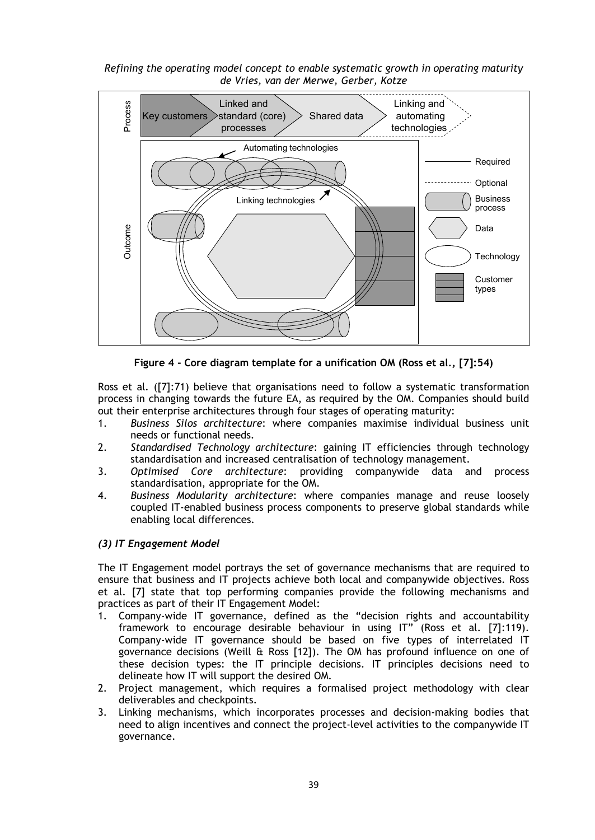*Refining the operating model concept to enable systematic growth in operating maturity de Vries, van der Merwe, Gerber, Kotze*



**Figure 4 - Core diagram template for a unification OM (Ross et al***.***, [7]:54)**

<span id="page-7-0"></span>Ross et al*.* ([7]:71) believe that organisations need to follow a systematic transformation process in changing towards the future EA, as required by the OM. Companies should build out their enterprise architectures through four stages of operating maturity:

- 1. *Business Silos architecture*: where companies maximise individual business unit needs or functional needs.
- 2. *Standardised Technology architecture*: gaining IT efficiencies through technology standardisation and increased centralisation of technology management.
- 3. *Optimised Core architecture*: providing companywide data and process standardisation, appropriate for the OM.
- 4. *Business Modularity architecture*: where companies manage and reuse loosely coupled IT-enabled business process components to preserve global standards while enabling local differences.

### *(3) IT Engagement Model*

The IT Engagement model portrays the set of governance mechanisms that are required to ensure that business and IT projects achieve both local and companywide objectives. Ross et al. [7] state that top performing companies provide the following mechanisms and practices as part of their IT Engagement Model:

- 1. Company-wide IT governance, defined as the "decision rights and accountability framework to encourage desirable behaviour in using IT" (Ross et al. [7]:119). Company-wide IT governance should be based on five types of interrelated IT governance decisions (Weill & Ross [12]). The OM has profound influence on one of these decision types: the IT principle decisions. IT principles decisions need to delineate how IT will support the desired OM.
- 2. Project management, which requires a formalised project methodology with clear deliverables and checkpoints.
- 3. Linking mechanisms, which incorporates processes and decision-making bodies that need to align incentives and connect the project-level activities to the companywide IT governance.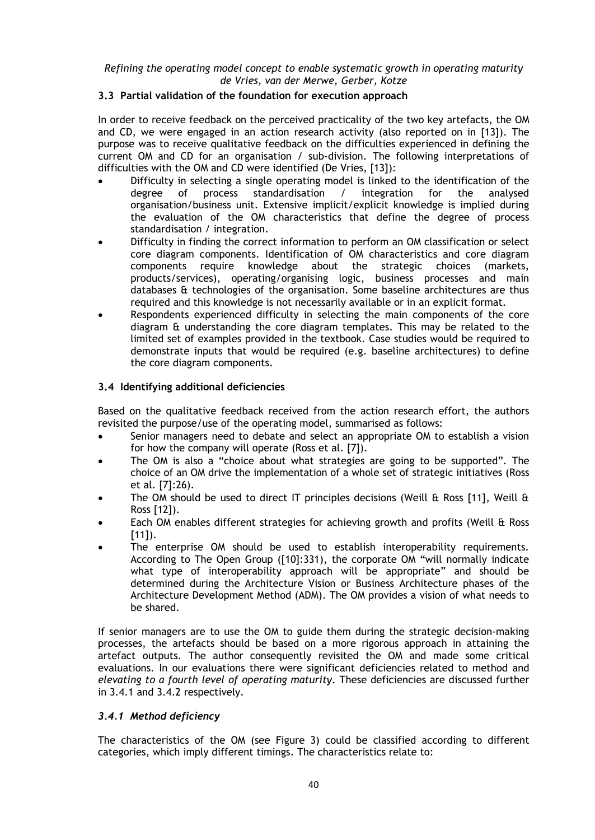## **3.3 Partial validation of the foundation for execution approach**

In order to receive feedback on the perceived practicality of the two key artefacts, the OM and CD, we were engaged in an action research activity (also reported on in [13]). The purpose was to receive qualitative feedback on the difficulties experienced in defining the current OM and CD for an organisation / sub-division. The following interpretations of difficulties with the OM and CD were identified (De Vries, [13]):

- Difficulty in selecting a single operating model is linked to the identification of the degree of process standardisation / integration for the analysed organisation/business unit. Extensive implicit/explicit knowledge is implied during the evaluation of the OM characteristics that define the degree of process standardisation / integration.
- Difficulty in finding the correct information to perform an OM classification or select core diagram components. Identification of OM characteristics and core diagram components require knowledge about the strategic choices (markets, products/services), operating/organising logic, business processes and main databases & technologies of the organisation. Some baseline architectures are thus required and this knowledge is not necessarily available or in an explicit format.
- Respondents experienced difficulty in selecting the main components of the core diagram & understanding the core diagram templates. This may be related to the limited set of examples provided in the textbook. Case studies would be required to demonstrate inputs that would be required (e.g. baseline architectures) to define the core diagram components.

## **3.4 Identifying additional deficiencies**

Based on the qualitative feedback received from the action research effort, the authors revisited the purpose/use of the operating model, summarised as follows:

- Senior managers need to debate and select an appropriate OM to establish a vision for how the company will operate (Ross et al. [7]).
- The OM is also a "choice about what strategies are going to be supported". The choice of an OM drive the implementation of a whole set of strategic initiatives (Ross et al. [7]:26).
- The OM should be used to direct IT principles decisions (Weill  $\hat{\alpha}$  Ross [11], Weill  $\hat{\alpha}$ Ross [12]).
- Each OM enables different strategies for achieving growth and profits (Weill & Ross  $[11]$ .
- The enterprise OM should be used to establish interoperability requirements. According to The Open Group ([10]:331), the corporate OM "will normally indicate what type of interoperability approach will be appropriate" and should be determined during the Architecture Vision or Business Architecture phases of the Architecture Development Method (ADM). The OM provides a vision of what needs to be shared.

If senior managers are to use the OM to guide them during the strategic decision-making processes, the artefacts should be based on a more rigorous approach in attaining the artefact outputs. The author consequently revisited the OM and made some critical evaluations. In our evaluations there were significant deficiencies related to method and *elevating to a fourth level of operating maturity*. These deficiencies are discussed further in 3.4.1 and 3.4.2 respectively.

### *3.4.1 Method deficiency*

The characteristics of the OM (see [Figure 3\)](#page-6-0) could be classified according to different categories, which imply different timings. The characteristics relate to: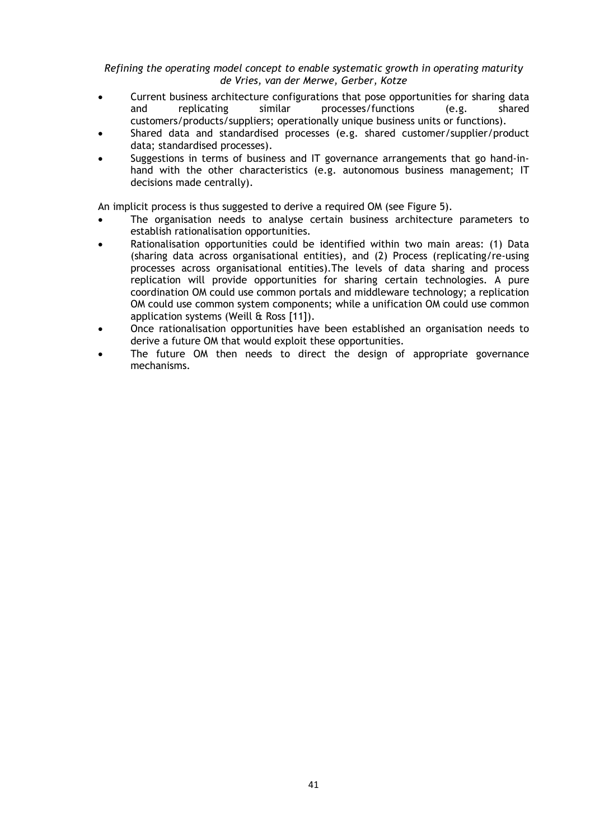- Current business architecture configurations that pose opportunities for sharing data and replicating similar processes/functions (e.g. shared customers/products/suppliers; operationally unique business units or functions).
- Shared data and standardised processes (e.g. shared customer/supplier/product data; standardised processes).
- Suggestions in terms of business and IT governance arrangements that go hand-inhand with the other characteristics (e.g. autonomous business management; IT decisions made centrally).

An implicit process is thus suggested to derive a required OM (see [Figure 5\)](#page-10-0).

- The organisation needs to analyse certain business architecture parameters to establish rationalisation opportunities.
- Rationalisation opportunities could be identified within two main areas: (1) Data (sharing data across organisational entities), and (2) Process (replicating/re-using processes across organisational entities).The levels of data sharing and process replication will provide opportunities for sharing certain technologies. A pure coordination OM could use common portals and middleware technology; a replication OM could use common system components; while a unification OM could use common application systems (Weill & Ross [11]).
- Once rationalisation opportunities have been established an organisation needs to derive a future OM that would exploit these opportunities.
- The future OM then needs to direct the design of appropriate governance mechanisms.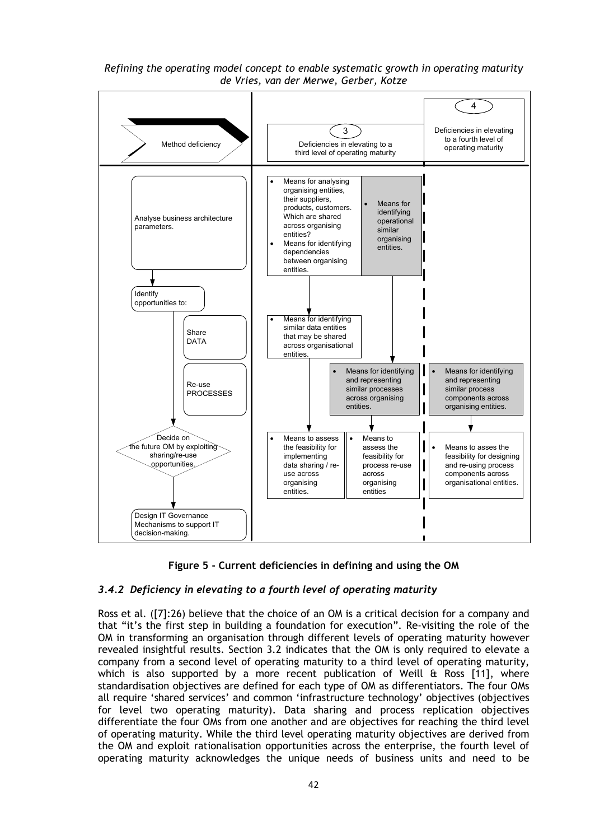<span id="page-10-1"></span>

**Figure 5 - Current deficiencies in defining and using the OM**

# <span id="page-10-0"></span>*3.4.2 Deficiency in elevating to a fourth level of operating maturity*

Ross et al. ([7]:26) believe that the choice of an OM is a critical decision for a company and that "it's the first step in building a foundation for execution". Re-visiting the role of the OM in transforming an organisation through different levels of operating maturity however revealed insightful results. Section 3.2 indicates that the OM is only required to elevate a company from a second level of operating maturity to a third level of operating maturity, which is also supported by a more recent publication of Weill  $\hat{\alpha}$  Ross [11], where standardisation objectives are defined for each type of OM as differentiators. The four OMs all require 'shared services' and common 'infrastructure technology' objectives (objectives for level two operating maturity). Data sharing and process replication objectives differentiate the four OMs from one another and are objectives for reaching the third level of operating maturity. While the third level operating maturity objectives are derived from the OM and exploit rationalisation opportunities across the enterprise, the fourth level of operating maturity acknowledges the unique needs of business units and need to be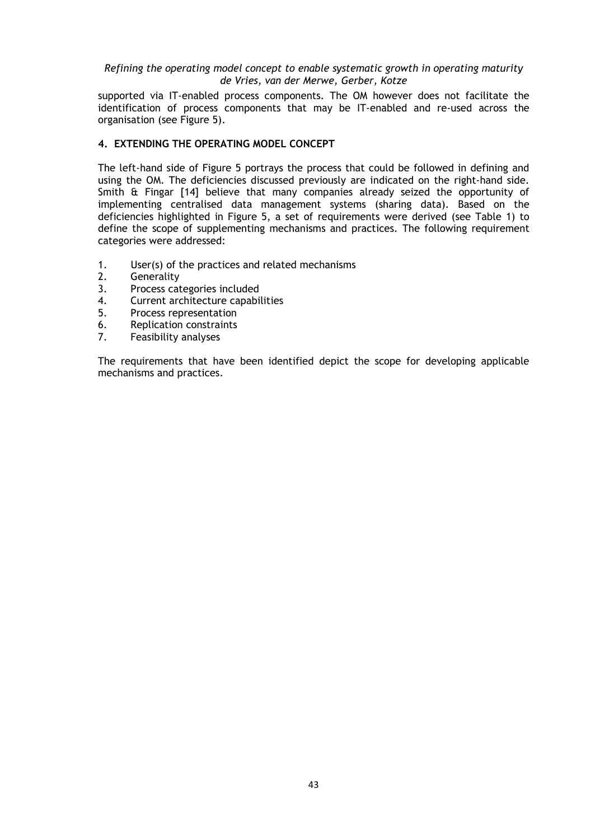supported via IT-enabled process components. The OM however does not facilitate the identification of process components that may be IT-enabled and re-used across the organisation (see [Figure 5\)](#page-10-0).

## **4. EXTENDING THE OPERATING MODEL CONCEPT**

The left-hand side of [Figure 5](#page-10-0) portrays the process that could be followed in defining and using the OM. The deficiencies discussed previously are indicated on the right-hand side. Smith & Fingar [14] believe that many companies already seized the opportunity of implementing centralised data management systems (sharing data). Based on the deficiencies highlighted in [Figure 5,](#page-10-0) a set of requirements were derived (see [Table 1\)](#page-13-0) to define the scope of supplementing mechanisms and practices. The following requirement categories were addressed:

- 1. User(s) of the practices and related mechanisms<br>2. Generality
- 2. Generality<br>3. Process cat
- 3. Process categories included<br>4. Current architecture capabil
- 4. Current architecture capabilities<br>5. Process representation
- 5. Process representation<br>6. Replication constraints
- 6. Replication constraints<br>7 Feasibility analyses
- Feasibility analyses

The requirements that have been identified depict the scope for developing applicable mechanisms and practices.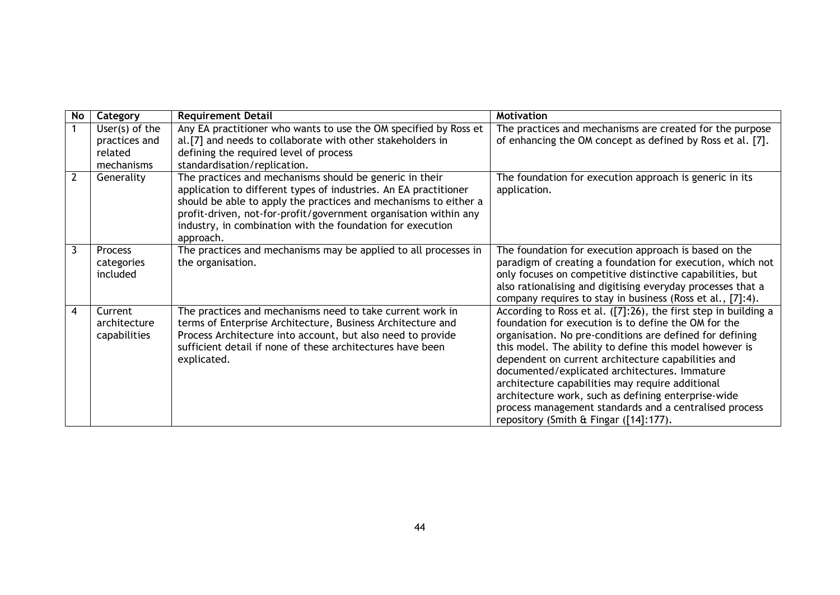| No             | Category                                                 | <b>Requirement Detail</b>                                                                                                                                                                                                                                                                                                                      | <b>Motivation</b>                                                                                                                                                                                                                                                                                                                                                                                                                                                                                                                                                    |
|----------------|----------------------------------------------------------|------------------------------------------------------------------------------------------------------------------------------------------------------------------------------------------------------------------------------------------------------------------------------------------------------------------------------------------------|----------------------------------------------------------------------------------------------------------------------------------------------------------------------------------------------------------------------------------------------------------------------------------------------------------------------------------------------------------------------------------------------------------------------------------------------------------------------------------------------------------------------------------------------------------------------|
|                | User(s) of the<br>practices and<br>related<br>mechanisms | Any EA practitioner who wants to use the OM specified by Ross et<br>al.[7] and needs to collaborate with other stakeholders in<br>defining the required level of process<br>standardisation/replication.                                                                                                                                       | The practices and mechanisms are created for the purpose<br>of enhancing the OM concept as defined by Ross et al. [7].                                                                                                                                                                                                                                                                                                                                                                                                                                               |
| $\overline{2}$ | Generality                                               | The practices and mechanisms should be generic in their<br>application to different types of industries. An EA practitioner<br>should be able to apply the practices and mechanisms to either a<br>profit-driven, not-for-profit/government organisation within any<br>industry, in combination with the foundation for execution<br>approach. | The foundation for execution approach is generic in its<br>application.                                                                                                                                                                                                                                                                                                                                                                                                                                                                                              |
| 3              | Process<br>categories<br>included                        | The practices and mechanisms may be applied to all processes in<br>the organisation.                                                                                                                                                                                                                                                           | The foundation for execution approach is based on the<br>paradigm of creating a foundation for execution, which not<br>only focuses on competitive distinctive capabilities, but<br>also rationalising and digitising everyday processes that a<br>company requires to stay in business (Ross et al., [7]:4).                                                                                                                                                                                                                                                        |
| 4              | Current<br>architecture<br>capabilities                  | The practices and mechanisms need to take current work in<br>terms of Enterprise Architecture, Business Architecture and<br>Process Architecture into account, but also need to provide<br>sufficient detail if none of these architectures have been<br>explicated.                                                                           | According to Ross et al. ([7]:26), the first step in building a<br>foundation for execution is to define the OM for the<br>organisation. No pre-conditions are defined for defining<br>this model. The ability to define this model however is<br>dependent on current architecture capabilities and<br>documented/explicated architectures. Immature<br>architecture capabilities may require additional<br>architecture work, such as defining enterprise-wide<br>process management standards and a centralised process<br>repository (Smith & Fingar ([14]:177). |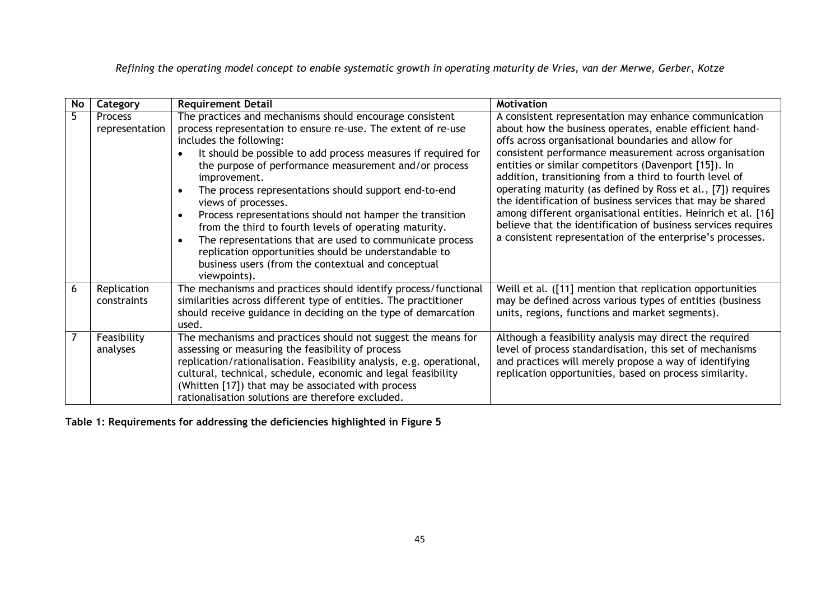| No. | Category                         | <b>Requirement Detail</b>                                                                                                                                                                                                                                                                                                                                                                                                                                                                                                                                                                                                                                                                                                              | Motivation                                                                                                                                                                                                                                                                                                                                                                                                                                                                                                                                                                                                                                                                         |
|-----|----------------------------------|----------------------------------------------------------------------------------------------------------------------------------------------------------------------------------------------------------------------------------------------------------------------------------------------------------------------------------------------------------------------------------------------------------------------------------------------------------------------------------------------------------------------------------------------------------------------------------------------------------------------------------------------------------------------------------------------------------------------------------------|------------------------------------------------------------------------------------------------------------------------------------------------------------------------------------------------------------------------------------------------------------------------------------------------------------------------------------------------------------------------------------------------------------------------------------------------------------------------------------------------------------------------------------------------------------------------------------------------------------------------------------------------------------------------------------|
| 5   | <b>Process</b><br>representation | The practices and mechanisms should encourage consistent<br>process representation to ensure re-use. The extent of re-use<br>includes the following:<br>It should be possible to add process measures if required for<br>the purpose of performance measurement and/or process<br>improvement.<br>The process representations should support end-to-end<br>$\bullet$<br>views of processes.<br>Process representations should not hamper the transition<br>$\bullet$<br>from the third to fourth levels of operating maturity.<br>The representations that are used to communicate process<br>$\bullet$<br>replication opportunities should be understandable to<br>business users (from the contextual and conceptual<br>viewpoints). | A consistent representation may enhance communication<br>about how the business operates, enable efficient hand-<br>offs across organisational boundaries and allow for<br>consistent performance measurement across organisation<br>entities or similar competitors (Davenport [15]). In<br>addition, transitioning from a third to fourth level of<br>operating maturity (as defined by Ross et al., [7]) requires<br>the identification of business services that may be shared<br>among different organisational entities. Heinrich et al. [16]<br>believe that the identification of business services requires<br>a consistent representation of the enterprise's processes. |
| 6   | Replication<br>constraints       | The mechanisms and practices should identify process/functional<br>similarities across different type of entities. The practitioner<br>should receive guidance in deciding on the type of demarcation<br>used.                                                                                                                                                                                                                                                                                                                                                                                                                                                                                                                         | Weill et al. ([11] mention that replication opportunities<br>may be defined across various types of entities (business<br>units, regions, functions and market segments).                                                                                                                                                                                                                                                                                                                                                                                                                                                                                                          |
|     | Feasibility<br>analyses          | The mechanisms and practices should not suggest the means for<br>assessing or measuring the feasibility of process<br>replication/rationalisation. Feasibility analysis, e.g. operational,<br>cultural, technical, schedule, economic and legal feasibility<br>(Whitten [17]) that may be associated with process<br>rationalisation solutions are therefore excluded.                                                                                                                                                                                                                                                                                                                                                                 | Although a feasibility analysis may direct the required<br>level of process standardisation, this set of mechanisms<br>and practices will merely propose a way of identifying<br>replication opportunities, based on process similarity.                                                                                                                                                                                                                                                                                                                                                                                                                                           |

<span id="page-13-0"></span>**Table 1: Requirements for addressing the deficiencies highlighted in [Figure 5](#page-10-1)**